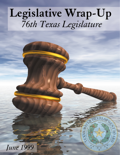# Legislative Wrap-Up 76th Texas Legislature

ELOPME

**June 1999**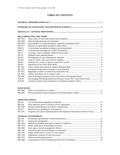## **TABLE OF CONTENTS**

|               | <b>BILLS IMPACTING THE TWDB</b>                                                |  |
|---------------|--------------------------------------------------------------------------------|--|
| HB 1592       |                                                                                |  |
| HB 2660       |                                                                                |  |
| HB 3079       |                                                                                |  |
| HB 3277       |                                                                                |  |
| <b>HJR 29</b> |                                                                                |  |
| HJR 62        |                                                                                |  |
| SB 76         |                                                                                |  |
| SB 272        |                                                                                |  |
| SB 657        |                                                                                |  |
| SB 658        |                                                                                |  |
| SB 821        |                                                                                |  |
| SB 991        |                                                                                |  |
| SB 1301       |                                                                                |  |
| SB 1310       |                                                                                |  |
| SB 1421       |                                                                                |  |
| SB 1593       |                                                                                |  |
| SB 1862       |                                                                                |  |
| <b>SCR 56</b> | Encouraging eliminating duplication between Section 401 United States Army  11 |  |
| <b>SCR 68</b> |                                                                                |  |

### **EDAP ISSUES**

### **EMPLOYEE ISSUES**

| HB 341  |                                                                                   |  |
|---------|-----------------------------------------------------------------------------------|--|
| HB 558  |                                                                                   |  |
| HB 2509 |                                                                                   |  |
| SB 223  |                                                                                   |  |
| SB 1130 | Programs and systems administered by the Employees Retirement System of Texas  15 |  |

### **GENERAL GOVERNMENT**

| HB 340  |  |
|---------|--|
|         |  |
| HB 732  |  |
| HB 1016 |  |
| HB 1074 |  |
| HB 1085 |  |
| HB 1283 |  |
| HB 1291 |  |
| HB 1328 |  |
| HB 1479 |  |
| HB 1848 |  |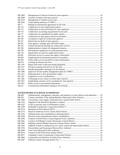| HB 1895       |  |
|---------------|--|
| HB 3084       |  |
| HB 3125       |  |
| HB 3561       |  |
| SB 77         |  |
| SB 174        |  |
| SB 175        |  |
| SB 176        |  |
| SB 177        |  |
| SB 178        |  |
| SB 183        |  |
| SB 191        |  |
| SB 501        |  |
| SB 533        |  |
| SB 708        |  |
| SB 709        |  |
| SB 710        |  |
| SB 801        |  |
| SB 828        |  |
| SB 950        |  |
| SB 974        |  |
| SB 1105       |  |
| SB 1127       |  |
| SB 1252       |  |
| SB 1308       |  |
| SB 1323       |  |
| SB 1367       |  |
| SB 1382       |  |
| SB 1563       |  |
| SB 1851       |  |
| <b>SJR 26</b> |  |
|               |  |

### **WATER DISTRICTS & RIVER AUTHORITIES**

| HB 846  | Administration, management, operation, and authority of water districts and authorities  29 |  |
|---------|---------------------------------------------------------------------------------------------|--|
| HB 952  |                                                                                             |  |
| HB 1069 |                                                                                             |  |
| HB 1355 |                                                                                             |  |
| HB 1437 |                                                                                             |  |
| HB 2199 |                                                                                             |  |
| HB 2274 |                                                                                             |  |
| HB 2275 |                                                                                             |  |
| HB 2332 |                                                                                             |  |
| HB 2926 |                                                                                             |  |
| HB 2965 |                                                                                             |  |
| HB 3401 |                                                                                             |  |
| HB 3481 |                                                                                             |  |
| HB 3591 | Addition of land to a defined area of a water control and improvement district  33          |  |
| HB 3793 |                                                                                             |  |
| HB 3804 |                                                                                             |  |
| HB 3814 |                                                                                             |  |
| HB 3817 |                                                                                             |  |
| HB 3846 |                                                                                             |  |
| HB 3847 |                                                                                             |  |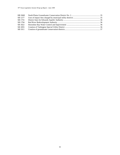| HB 3849 |  |
|---------|--|
| SB 1277 |  |
| SB 1755 |  |
| SB 1794 |  |
| SB 1822 |  |
| SB 1855 |  |
| SB 1911 |  |
|         |  |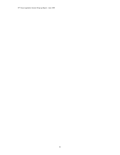*76th Texas Legislative Session Wrap-up Report - June 1999*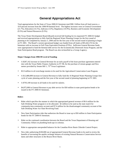## **General Appropriations Act**

Total appropriations for the State of Texas 2000-01 biennium total \$98.1 billion from all fund sources, a 10.9 percent increase from the 1998-99 biennial level. The highest increases were in General Government (21.7%), Education (14.1%), Judiciary (12%), Regulatory (10.9%), Business and Economic Development (9.5%) and Natural Resources (9.3%).

The Texas Water Development Board (Board) received full funding for its requested FY 2000-01 budget and received appropriations to fully fund the Regional Water Planning Groups for the first round of planning to be completed by January 5, 2000 and for the first year of the second round of planning to begin in FY 2001. The Board's current operational budget was funded from all funds at \$93,442,374 for the biennium with no increase in Full-Time Equivalent Positions (FTEs). Sufficient General Revenue funds were appropriated to fund the biennial debt service for the Economically Distressed Areas Program, and the State Participation Bond program. The Board was also reclassified as a Group 4 agency.

### **Major Changes from 1998-99 Level of Funding**

- A \$287,162 increase in General Revenue for an early payoff of the lease purchase agreement entered into with the Texas Public Finance Authority in FY 98, for the purchase of stream gauges and flow meters provided by Senate Bill 1, 75<sup>th</sup> Texas Legislature.
- \$3.9 million in oil overcharge monies to be used for the Agricultural Conservation Loan Program.
- A \$12,880,890 increase in General Revenue to fully fund the 16 Regional Water Planning Groups first cycle of water planning and the first year of the second round of planning beginning in FY 2001.
- A \$793,100 increase in all funds to be used for salaries.
- \$4,875,000 in General Revenue to pay debt service for \$50 million in state participation bonds to be issued in the FY 2000-01 biennium.

### **Riders**

- Rider which specifies the manner in which the appropriated general revenue of \$9.6 million for the Safe Drinking Water program is to be allocated. \$2 million to be used as the state match for community/non-community account and \$7.6 million for the disadvantaged community account of the Safe Drinking Water Act State Revolving Fund.
- New State Participation rider that authorizes the Board to issue up to \$50 million in State Participation bonds for the FY 2000-01 biennium.
- Rider on the continued coordination between the Board and the Texas Department of Housing and Community Affairs on plumbing hook-ups in colonias.
- Rider to appropriate unexpended balances for the Canadian River Basin Chloride Control Project.
- New rider authorizing \$100,000 out of appropriated General Revenue funds to be used to review the benefits of increasing the aquifer recharge features of existing Natural Resource Conservation Service dams and other structures in the Brazos River Basin.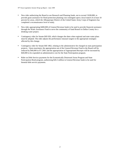- New rider authorizing the Board to use Research and Planning funds, not to exceed \$100,000, to provide grant assistance for flood protection planning cost contingent upon a local match of at least 10 percent for areas, which the Albuquerque District of the United States Army Corps of Engineers has completed a reconnaissance level of study.
- New rider appropriating \$400,000 of General Revenue funds to be used to provide financial assistance through the Water Assistance Fund to serve the community of Sand Branch in Dallas County for a drinking water project.
- Contingency rider for Senate Bill 658, which changes the dates when regional and state water plans must be adopted. The rider adjusts the performance measure targets to the appropriate strategies affected by this change.
- Contingency rider for Senate Bill 1862, relating to the administrative fee charged on state participation projects. Upon enactment, the appropriation out of the General Revenue Fund to the Board will be reduced by \$40,000 in FY 2001 and the appropriation of Appropriated Receipts will be increased by \$40,000 to be expended on administrative cost for the State Participation program.
- Rider on Debt Service payments for the Economically Distressed Areas Program and State Participation Bond program, authorizing \$26.5 million in General Revenue funds to be used for biennial debt service payments.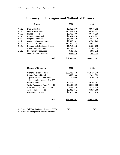## **Summary of Strategies and Method of Finance**

|        | <b>Strategy</b>                      | 2000         | 2001         |
|--------|--------------------------------------|--------------|--------------|
| A.1.1. | Data Collection                      | \$3,618,279  | \$3,640,002  |
| A.1.2. | Long-Range Planning                  | \$16,469,520 | \$6,588,823  |
| A.1.3. | Natural Resource                     | \$9,760,499  | \$9,770,520  |
| A.1.4. | Resource Information                 | \$1,034,075  | \$1,050,961  |
| A.2.1. | <b>Regional Planning</b>             | \$4,437,840  | \$4,042,225  |
| A.2.2. | <b>Conservation Assistance</b>       | \$2,497,101  | \$2,502,743  |
| B.1.1. | <b>Financial Assistance</b>          | \$10,570,743 | \$8,542,027  |
| B.1.2. | <b>Economically Distressed Areas</b> | \$1,710,513  | \$1,636,755  |
| C.1.1. | <b>Central Administration</b>        | \$1,736,687  | \$1,766,010  |
| C.1.2. | Information Resources                | \$543,121    | \$551,972    |
| C.1.3. | <b>Other Support Services</b>        | \$484,429    | \$487,529    |
|        | Total                                | \$52,862,807 | \$40,579,567 |

| <b>Method of Financing</b>                                  | 2000         | 2001         |
|-------------------------------------------------------------|--------------|--------------|
| General Revenue Fund                                        | \$30,788,463 | \$18,415,940 |
| <b>Earned Federal Fund</b>                                  | \$555,239    | \$692,372    |
| Agricultural Soil and Water<br>Conservation Account No. 563 | \$100,000    | \$100,000    |
| <b>Federal Funds</b>                                        | \$9,219,347  | \$9,195,083  |
| Water Assistance Fund No. 480                               | \$3,163,232  | \$3,163,232  |
| Agricultural Trust Fund No. 562                             | \$225,425    | \$225,425    |
| <b>Appropriated Receipts</b>                                | \$6,838,851  | \$6,815,265  |
| <b>Interagency Contracts</b>                                | \$1,972,250  | \$1,972,250  |
| Total                                                       | \$52,862,807 | \$40,579,567 |
| Number of Full-Time Equivalent Positions (FTEs)             | 313.5        | 313.5        |
| (FTEs did not change from current biennium)                 |              |              |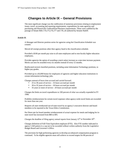## **Changes to Article IX – General Provisions**

The most significant change was the codification of numerous provisions relating to employment issues, travel, accounting and reporting requirements, expenditures by state agencies and purchasing and Historically Underutilized Business requirements. These were codified by the passage of Senate Bills 174,175,176,177 and 178, all authored by Senator Ratliff.

### **Article IX**

A Manager and Director position series for agencies using the Classification Schedule was created.

Moved all exempt positions other then agency head to the classification schedule.

Provided a \$100 per month pay raise to all state employees and to non-faculty higher education employees.

Provides agencies the option of awarding a merit salary increase as a one-time increase payment. Merits can now be awarded every six months instead of every 12 months.

Reallocated several classified positions, including some Information Technology positions, to higher pay grades.

Provided up to a \$3,000 bonus for employees of agencies and higher education institutions in certain information technology jobs.

Changes amount of leave time accrued and carried forward.

- 25 to 30 years of service  $-16$  hours accrued per month
- $30$  to 35 years of service  $-18$  hours accrued per month
- 35 years or more of service 20 hours accrued per month

Changes the limits on travel expenditures to 100 percent of what was actually expended in FY 1998.

Prohibits reimbursement for certain travel expenses when agency-wide travel limits are exceeded for more than one year.

Requires all state reimbursed out-of-state travel by an agency's executive director and board members to be reported to the Texas Ethics Commission.

Per Diem rate for board member reimbursement of actual expense for meals and lodging for instate travel has increased from \$80 to \$95.

Changes the deadline of filing agency annual reports from January  $15<sup>th</sup>$  to November  $20<sup>th</sup>$ .

Changes definition of Full-Time Equivalent employee (FTE). Also FTE number indicated in agency's bill pattern is a cap not to be exceeded without written authority from the Legislative Budget Board and Governor's Office.

The provision for high performing agencies to develop an enhanced compensation program is continued. To be eligible agencies must still achieve or exceed targets for 80 percent of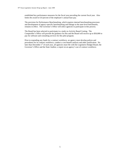established key performance measures for the fiscal year preceding the current fiscal year. Also limits the award to 6.8 percent of the employee's annual base pay.

The provision for Performance Benchmarking, which requires internal benchmarking processes and development of agency-specific benchmarking and linkage to the state-level benchmarks, remains in effect. The Governor's Office will select agencies to participate in this process.

The Board has been selected to participate in a study on Activity Based Costing. The Comptroller's Office will provide the guidance for this and the Board will receive up to \$50,000 to pay for software and consulting services for this pilot program.

Prior to expending any funds for a contract workforce, an agency must develop polices and procedures for its contract workforce, conduct a cost benefit analysis and other justification. No later than December 1<sup>st</sup> of each year, all agencies must file with the Legislative Budget Board, the Governor's Office and the State Auditor, a report on an agency's use of contract workforce.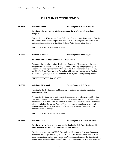## **BILLS IMPACTING TWDB**

## **HB 1592 by Robert Junell Senate Sponsor: Robert Duncan Relating to the state's share of the costs under the brush control cost-share program.** Amends Sec. 203.154 (a) Agriculture Code. Provides an increase in the state's share in the cost of a brush control project from 70% to 80%. The program as reflected in this legislation is administered by the State Soil and Water Conservation Board. **EFFECTIVE DATE:** September 1, 1999 **HB 2660 by David Swinford Senate Sponsor: Steve Ogden Relating to state drought planning and preparation.** Designates the coordinator of the Division of Emergency Management as the state drought manager responsible for managing and coordinating drought planning and response, and also expands the membership of the state drought committee. Also, provides for Texas Department of Agriculture (TDA) representation on the Regional Water Planning Groups (RWPGs) and input in the regional water planning process. **EFFECTIVE DATE:** June 19, 1999 **HB 3079 by Edmund Kuempel Senate Sponsor: J.E. Brown Relating to the development and financing of a statewide aquatic vegetation management plan.** Provides for the Texas Parks and Wildlife Commission to develop and adopt by rule a state aquatic vegetation management plan. Local governments with jurisdiction over public bodies of surface water are required to either adopt the state plan or develop and adopt a local plan. Creates an Aquatic Vegetation Management Fund as a special account within the Water Assistance Fund to provide grants for development and implementation of these plans. **EFFECTIVE DATE:** September 1, 1999 **HB 3277 by Robert Cook Senate Sponsor: Kenneth Armbrister Relating to research on agriculture production in the Gulf Coast Region and its effect on water use and availability and wildlife habitat.** Establishes an Agriculture/Wildlife Research and Management Advisory Committee within the Texas Agricultural Experiment Station. The Committee will consist of 13 members appointed for two-year terms. The Committee is to advise the Experiment Station on agriculture/wildlife research; encourage communication with other states with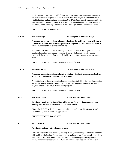similar interest in agriculture, wildlife, and water use issues; and establish a framework for more efficient management of water in the Gulf Coast Region in order to maintain wildlife habitats and agricultural production. One TWDB representative, appointed by the Executive Administrator, is required to serve on the Agriculture and Wildlife Research and Management Advisory Committee to the Texas Agricultural Experiment Station.

**EFFECTIVE DATE:** June 19, 1999

### **HJR 29 by Pete Gallego Senate Sponsor: Florence Shapiro**

**Proposing a constitutional amendment authorizing the legislature to provide that a state board, commission, or other agency shall be governed by a board composed of an odd number of three or more members.**

A constitutional amendment that will require all state boards to be composed of an odd number of members with staggered terms. Those created constitutionally can be composed of any number of members divisible by three, each serving staggered six-year terms.

**EFFECTIVE DATE:** Subject to November 2, 1999 election

### **HJR 62 by Anna Mowery Senate Sponsor: Florence Shapiro**

**Proposing a constitutional amendment to eliminate duplicative, executed, obsolete, archaic, and ineffective constitutional provisions.**

A constitutional revision, which significantly amends Article III of the State Constitution provisions, authorizing the TWDB to issue bonds. As proposed, there will not be any negative impact on the TWDB or its bond programs.

**EFFECTIVE DATE:** Subject to November 2, 1999 election

## **SB 76 by Carlos Truan House Sponsor: Kino Flores**

**Relating to requiring the Texas Natural Resource Conservation Commission to develop a water availability model for the Rio Grande.**

Directs the TNRCC to develop a water availability model for the Rio Grande River by December 31, 2003, if funds are appropriated.

**EFFECTIVE DATE:** June 19, 1999

### **SB 272** by J.E. Brown **House Sponsor: Ron Lewis**

### **Relating to regional water planning groups.**

Gives the Regional Water Planning Groups (RWPGs) the authority to enter into contracts with political subdivisions for assistance in developing and revising regional water plans. Also clarifies that the RWPGs, their members, and any employees of the political subdivision under contract with the RWPG are immune from liability for any acts or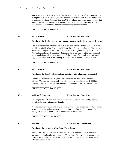omissions in the course and scope of their work with the RWPGs. If the RWPG member, or employees of the contracting political subdivision are sued for RWPG related actions or omission, the Texas Attorney General's Office will represent them. Also, requires that RWPGs maintain representation of interests comprising the region and only have to appoint additional members, if interests are not adequately represented.

**EFFECTIVE DATE:** June 19, 1999

### **SB 657 by J.E. Brown House Sponsor: Ron Lewis**

### **Relating to the development of water management strategies for periods of drought.**

Removes the requirement for the TNRCC to provide the projected amount of water that would be available when flows are at 75% and 50% of normal conditions. Also removes provisions for regional water plans to include water management strategies for flows at 75% and 50% of normal conditions. Regional water plans must identify each source of water supply in the planning area and identify factors specific to each source of water supply to be considered in determining whether or not to initiate a drought response.

**EFFECTIVE DATE:** June 19, 1999

### **SB 658 by J.E. Brown House Sponsor: Ron Lewis**

### **Relating to the dates by which regional and state water plans must be adopted.**

Changes the dates when the regional water plans and the state water plan must be adopted. The date for the regional water plans changed from September 1, 2000 to January 5, 2001, and the state water plan from September 1, 2001 to January 5, 2002.

**EFFECTIVE DATE:** June 19, 1999

### **SB 821** by Kenneth Armbrister **House Sponsor: Dora Olivo**

### **Relating to the authority of a county to operate a water or sewer utility system; granting the power of eminent domain.**

Provides counties with the authority to acquire, own, operate or contract for the operation of a water or sewer utility system to serve unincorporated areas of the county. The county can also issue bonds to finance the water or sewer system.

**EFFECTIVE DATE:** May 24, 1999

### **SB 991 by Eddie Lucio House Sponsor: David Counts**

### **Relating to the operations of the Texas Water Bank.**

Amends the Texas Water Code to allow the TWDB to implement water conservation measures in irrigation districts through the Texas Water Bank with the resulting water saved to be deposited into the Water Bank for transfer to municipalities, industries or other agricultural users.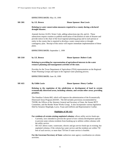### **EFFECTIVE DATE:** May 10, 1999

### **SB 1301 by J.E. Brown House Sponsor: Ron Lewis**

### **Relating to water conservation measures required in a county during a declared drought disaster.**

Amends Section 16.055, Water Code, adding subsections (g), (h), and (i). These subsections require counties to publish notification of declaration of state of disaster and provide notice to the chair of the local regional planning group and to each person or entity in the county that is required to develop a water conservation or drought contingency plan. Receipt of this notice will require immediate implementation of those plans.

**EFFECTIVE DATE:** September 1, 1999

### **SB 1310** by J.E. Brown **House Sponsor: Robert Cook**

### **Relating to providing for representation of agricultural interests in the water resource planning and management activities of the state.**

Provides for the Texas Department of Agriculture (TDA) representation on the Regional Water Planning Groups and input in the regional water planning process.

**EFFECTIVE DATE:** June 18, 1999

### **SB 1421 By Eddie Lucio House Sponsor: Henry Cuellar**

**Relating to the regulation of the subdivision or development of land in certain economically distressed areas, including colonias, and certain other areas; providing penalties.**

The Omnibus Colonia Bill, which will improve the administration of the Economically Distressed Areas Program (EDAP). The bill includes provisions recommended by TWDB, the Offices of the Attorney General and Secretary of State, the Senate IRTT Committee, and the Border Water Works Group. It also incorporates various legislation filed by Senators Shapleigh, Lucio, Truan and Zaffirini and Representative Cuellar.

### **Highlights of SB 1421**

**For residents of certain existing unplatted colonias:** allows utility service hook-ups.

- **-** Currently, laws intended to prevent the sprawl of new colonia development operate to prevent some colonia residents from hooking up to utilities within colonias with the utility service.
- SB 1421 allows water, wastewater, electric and gas service hook-ups in existing, but unplatted colonias, if the colonia has water service and the residents are within 750 feet of such service, or more than 750 feet if water service is feasible.

**For the Governor/Secretary of State:** authorizes state agency coordination on colonia activities.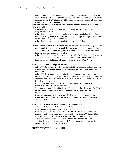**-** Governor may appoint a colonia coordinator position with authority to convene state agency work groups and to appoint six county ombudsmen to coordinate funding and construction activity. Ombudsmen will be located in Cameron, Hidalgo, Starr, Webb, Maverick and El Paso Counties.

**For Counties within 50 miles of the Texas/Mexico Border:** provides assistance in addressing problems.

- **-** Allows border counties to create a planning commission to review and approve or deny subdivision plats.
- **-** Allows border counties to approve a plat of an existing grandfathered subdivision when the existing subdivision cannot meet county drainage, road right-of-way, solid waste, electric, or gas service standards.
- **-** Allows border counties to hire a subdivision inspector and charge a fee.

### **For the Attorney General's Office:** increases colonia enforcement by closing loopholes.

- **-** Closes subdivision enforcement loopholes by making existing regulations apply to subdivisions of two or more lots (rather than four or more lots) and to areas within the extra-territorial jurisdictions of cities.
- **-** Allows Model Subdivision Rules to be adopted under the Administrative Procedures Act and reinstates fines, injunctions, and venues in Travis County which were inadvertently repealed in recodification of Chapter 7 of the Water Code.

### **For the Texas Water Development Board:**

- **-** Allows TWDB to assist struggling applicants in hiring engineers, and as a last resort, to undertake the planning process when planning efforts have been too slow or inadequate.
- **-** Allows TWDB to require an application for colonia grant funds to include an assessment by TNRCC of the Managerial, Financial, and Technical (MFT) capability of the applicant; and to condition the award of the grant on MFT capability or deny for lack of MFT capability.
- **-** Prohibits the revenues from a colonia grant fund project from being used for transfers to a city's general revenue fund.
- **-** Transfers the responsibility of issuing a finding of public health nuisance for EDAP project grants greater than 50 percent from the TNRCC to the Texas Department of Health.
- **-** Redefines economically distressed areas by deleting the 80 percent occupancy requirement, but still requires that there was an established residential subdivision as of June 1, 1989.

### **For the Texas Natural Resource Conservation Commission:**

- **-** Adds new Water Code 5.124 providing TNRCC authority to award resource conservation/environmental protection grants.
- **-** Requires TNRCC to set standards and award a certificate of convenience and necessity (CCN) based on assessing Managerial, Financial, and Technical (MFT) capacity when there is a dispute between two utilities to serve an EDAP area.
- **-** Amends Plumbing License Law to allow unlicensed plumbing for TNRCC sanctioned self-help projects within an EDAP county and an area meeting the definition of an economically distressed area.

### **EFFECTIVE DATE:** September 1, 1999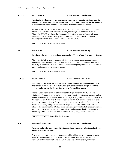## **SB 1593** by J.E. Brown **House Sponsor: David Counts Relating to development of a water supply reservoir project at a site known as the Allens Creek Reservoir site in Austin County, Texas, and providing for the issuance of certain water rights permits to the Texas Water Development Board.** Authorizes the TWDB to use the state participation program to purchase up to a 50% interest in the Allens Creek Reservoir project, including 100% of the reservoir site. Directs the TNRCC to reissue the abandoned Allens Creek water rights permit upon application by the TWDB. Also grants the TWDB additional water rights to the unappropriated flows of the Brazos River and Allens Creek. **EFFECTIVE DATE:** September 1, 1999 **SB 1862** by Bill Ratliff **House Sponsor: Tracy King Relating to the state participation program of the Texas Water Development Board.** Allows the TWDB to charge an administrative fee to recover costs associated with processing, monitoring and auditing state participation projects. The fee is an amount necessary to recover costs to be incurred in administering the project over its life. The fee may be collected in one or more payments. **EFFECTIVE DATE:** September 1, 1999 **SCR 56 by Jon Lindsay House Sponsor: Ron Lewis Encouraging the Texas Natural Resource Conservation Commission to eliminate duplication between its Section 401 water quality certification program and the review conducted by the United States Army Corps of Engineers.** The resolution resolves that it is the intent of the Legislature that TNRCC should eliminate duplication between its Section 401 water quality certification program and the review conducted by the United States Army Corps of Engineers under Section 404(b) of the federal Clean Water Act. It further resolves that TNRCC should amend its rules to waive certification review of Corps permitted projects, except where it's necessary to maintain a federally delegated or approved program. It also establishes that it is the intent of the legislature that TNRCC be no more stringent than the federal government in its review process, and that any savings realized by eliminating duplication should be utilized by TNRCC to meet the demands of its water quality protection program. **EFFECTIVE DATE:** Vetoed by the Governor **SCR 68** by Kenneth Armbrister **House Sponsor: David Counts Creating an interim study committee to coordinate emergency efforts during floods and other natural disasters.**

A resolution to create a committee to conduct a blue ribbon study to examine ways to improve coordination among the Texas Natural Resource Conservation Commission, the Texas Water Development Board, the Small Business Administration, volunteer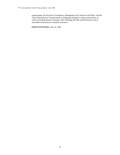organizations, the Division of Emergency Management, the General Land Office, and the Texas Department of Transportation in mitigating damage by taking action before, as well as providing disaster assistance after, flooding and other natural disasters and to streamline the provision of disaster assistance.

**EFFECTIVE DATE:** June 19, 1999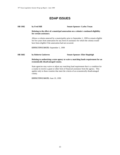## **EDAP ISSUES**

## **HB 1982 by Fred Hill Senate Sponsor: Carlos Truan Relating to the effect of a municipal annexation on a colonia's continued eligibility for certain assistance.** Allows a colonia annexed by a municipality prior to September 1, 1999 to remain eligible for five years from annexation for any form of assistance for which the colonia would have been eligible if the annexation had not occurred. **EFFECTIVE DATE:** September 1, 1999 **HB 3682 by Roberto Gutierrez Senate Sponsor: Eliot Shapleigh Relating to authorizing a state agency to waive a matching funds requirement for an economically disadvantaged county.** State agencies may waive or adjust any matching fund requirement that is a condition for a county to receive a grant or other form of financial assistance from the agency. This applies only to those counties that meet the criteria of an economically disadvantaged

**EFFECTIVE DATE:** June 19, 1999

county.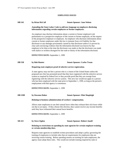### **EMPLOYEE ISSUES**

### **HB 341 by Brian McCall Senate Sponsor: Jane Nelson**

**Amending the State Labor Code to add new language on employers disclosing information regarding certain employees or former employees.**

An employer may disclose information about a current or former employee's job performance to a prospective employer of the current or former employee, on the request of the prospective employer or employee. An employer who discloses information about current or former employees under this law is immune from civil liability for that disclosure or any damages proximately caused by that disclosure unless it is proven by clear and convincing evidence that the information disclosed was known by that employer to be false at the time the disclosure was made or that the disclosure was made with malice or reckless disregard for the truth or falsity of the information disclosed.

**EFFECTIVE DATE:** September 1, 1999

### **HB 558 by Bob Hunter Senate Sponsor: Carlos Truan**

### **Requiring state employee proof of selective service registration.**

A state agency may not hire a person who is a citizen of the United States unless the proposed new hire has presented proof that they have registered with the selective service system as required by federal law or they provide proof that they are exempt from registering with the selective service system. This new law would not apply to a person who has been employed with the state prior to September 1, 1999, as long as the person's employment with that agency is continuous.

**EFFECTIVE DATE:** September 1, 1999

### **HB 2509 by Dawnna Dukes Senate Sponsor: Eliot Shapleigh**

### **Relating to business administration of workers' compensation.**

Allows state employees to use their annual leave when they exhaust their sick leave while out due to an injury. If they choose this election, they cannot receive any income benefits until they have exhausted their annual leave benefits.

**EFFECTIVE DATE:** September 1, 1999

### **SB 223 by Steve Ogden Senate Sponsor: Robert Junell**

### **Relating to restrictions on spending by state agencies for certain employee training or certain membership dues.**

Requires state agencies to establish written procedures and adopt a policy governing the training of employees to include rules that set requirements for employees that are receiving certain training. Before spending monies on training for state employees, the agency must adopt these rules. This would not include training required by state or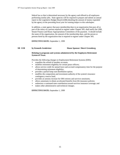federal law or that is determined necessary by the agency and offered to all employees performing similar jobs. State agencies will be required to prepare and submit an annual report to the Legislative Budget Board (LBB) detailing the amount of money expended by the agency in the preceding fiscal year for training subject to this subchapter.

In addition, a state agency that pays membership dues to an organization that pays all or part of the salary of a person required to register under Chapter 305, shall notify the LBB, Senate Finance and House Appropriations Committees of the payment. It should include the name of the organization, the amount of the membership dues, and the person or persons hired by the organization that is required to register under Chapter 305.

### **EFFECTIVE DATE:** September 1, 1999

### **SB 1130 by Kenneth Armbrister House Sponsor: Sherri Greenberg**

### **Relating to programs and systems administered by the Employees Retirement System of Texas.**

Provides the following changes to Employment Retirement Systems (ERS):

- expedites the refund of member accounts;
- modifies retirement eligibility for certain peace officers;
- allows service credit for annual leave and accrued compensatory time for the purpose of determining retirement eligibility;
- provides a partial lump sum distribution option;
- modifies the composition and investment authority of the system's insurance contingency reserve fund;
- provides an annuity increase for ERS retirees and survivor annuitants;
- allows annuitants to obtain accelerated benefits from life insurance policies;
- authorizes a continued state contribution toward survivor insurance coverage; and
- makes other administrative and technical changes.

**EFFECTIVE DATE:** September 1, 1999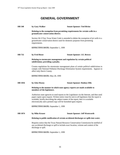## **GENERAL GOVERNMENT**

## **HB 340 by Gary Walker Senate Sponsor: Teel Bivins Relating to the exemption from permitting requirements for certain wells in a groundwater conservation district.** Section 36.117(a), Texas Water Code is amended to delete the exemption of jet wells in a groundwater conservation district used for domestic purposes from permitting requirements. **EFFECTIVE DATE:** September 1, 1999 **HB 732 by Fred Bosse Senate Sponsor: J.E. Brown Relating to stormwater management and regulation by certain political subdivisions; providing a penalty.** Creates regulations for stormwater management plans of certain political subdivisions to comply with National Pollution Discharge Elimination System requirements. Appears to affect only Harris County. **EFFECTIVE DATE:** May 28, 1999 **HB 1016 by Glen Maxey Senate Sponsor: Rodney Ellis Relating to the manner in which state agency reports are made available to members of the legislature.** Authorizes state agencies to send reports to the Legislature via the Internet, and then send paper copies upon request. Written notice must be sent to all legislators that the report is available, briefly describing the subject matter of the report, that it is available electronically and a printed copy will be furnished upon request. **EFFECTIVE DATE:** September 1, 1999 **HB 1074 by Mike Krusee Senate Sponsor: Jeff Wentworth Relating to public notification of certain accidental discharges or spills into water.** Requires notice that the Texas Natural Resource Conservation Commission be notified of any accidental discharge or spill to include exact location, volume and content of the discharge or spill. **EFFECTIVE DATE:** September 1, 1999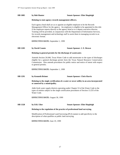### **HB 1085 by Bob Hunter Senate Sponsor: Eliot Shapleigh**

### **Relating to state agency records management officers.**

Each agency head shall act as or appoint an eligible employee to be the Records Management Officer for the agency. An employee is eligible to be appointed in this title if the employee reports directly to the agency head or to a deputy executive director. Training will be provided, in conjunction with the Department of Information Services, for records management and technology staff to assist them in managing records in an electronic format.

**EFFECTIVE DATE:** September 1, 1999

### **HB 1283 by David Counts Senate Sponsor: J. E. Brown**

**Relating to general permits for the discharge of wastewater.**

Amends Section 26.040, Texas Water Code to add stormwater to the types of discharges eligible for a general discharge permit form the Texas Natural Resource Conservation Commission. Also amends procedures for public notice and notice of intent with respect to general permits.

**EFFECTIVE DATE:** September 1, 1999

### **HB 1291 by Kenneth Brimer Senate Sponsor: Chris Harris**

**Relating to the single certification of a water or sewer utility in an area incorporated or annexed by a municipality.**

Adds fresh water supply districts operating under Chapter 53 of the Water Code to the types of entities subject to the single certification procedures of Section 13.255 of the Water Code.

**EFFECTIVE DATE:** August 30, 1999

**HB 1328** by D.R. Uher Senate Sponsor: Eliot Shapleigh

### **Relating to the regulation of the practice of professional land surveying.**

Modification of Professional Land Surveying (PLS) statute to add specificity to the description of what qualifies as public land surveying.

**EFFECTIVE DATE:** June 19, 1999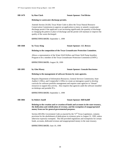| <b>HB</b> 1479                       | by Ron Clark                                                                                                                                                                                                                                                                                     | <b>Senate Sponsor: Teel Bivins</b>                                                                                                                                                       |  |
|--------------------------------------|--------------------------------------------------------------------------------------------------------------------------------------------------------------------------------------------------------------------------------------------------------------------------------------------------|------------------------------------------------------------------------------------------------------------------------------------------------------------------------------------------|--|
|                                      | Relating to wastewater discharge permits.                                                                                                                                                                                                                                                        |                                                                                                                                                                                          |  |
|                                      | Amends Section 26.028, Texas Water Code to allow the Texas Natural Resource<br>Conservation Commission to approve an application to renew or amend a wastewater<br>quality of the waste discharged.                                                                                              | discharge permit if the applicant is not increasing significantly the quantity of discharge<br>or changing the pattern or place of discharge and the permit will maintain or improve the |  |
|                                      | <b>EFFECTIVE DATE:</b> September 1, 1999                                                                                                                                                                                                                                                         |                                                                                                                                                                                          |  |
| <b>HB</b> 1848                       | by Tracy King                                                                                                                                                                                                                                                                                    | <b>Senate Sponsor: J.E. Brown</b>                                                                                                                                                        |  |
|                                      | Relating to the composition of the Texas Groundwater Protection Committee.                                                                                                                                                                                                                       |                                                                                                                                                                                          |  |
|                                      | Allows a representative of the Water Well Drillers and Water Well Pump Installers<br>Program to be a member of the Texas Groundwater Protection Committee (GWPC).                                                                                                                                |                                                                                                                                                                                          |  |
|                                      | <b>EFFECTIVE DATE:</b> August 30, 1999                                                                                                                                                                                                                                                           |                                                                                                                                                                                          |  |
| <b>HB</b> 1895                       | by Glen Maxey                                                                                                                                                                                                                                                                                    | <b>Senate Sponsor: Gonzalo Barrientos</b>                                                                                                                                                |  |
|                                      | Relating to the management of software licenses by state agencies.                                                                                                                                                                                                                               |                                                                                                                                                                                          |  |
|                                      | Requires Department of Information Resources, General Services Commission, State<br>Auditor's Office, and Comptroller's Office to create an interagency panel to develop<br>curricula for software portfolio management and requires state agencies to "donate"<br>on desktops and portable PCs. | resources to support this activity. Also requires that agencies audit the software installed                                                                                             |  |
|                                      | <b>EFFECTIVE DATE:</b> September 1, 1999                                                                                                                                                                                                                                                         |                                                                                                                                                                                          |  |
| <b>HB</b> 3084                       | by Robert Junell                                                                                                                                                                                                                                                                                 | <b>Senate Sponsor: Bill Ratliff</b>                                                                                                                                                      |  |
|                                      | Relating to the creation and re-creation of funds and accounts in the state treasury,<br>the dedication and rededication of revenue, and the exemption of unappropriated<br>money from use for general governmental purposes.                                                                    |                                                                                                                                                                                          |  |
|                                      | Section 403.094, Government Code as enacted by the 72 <sup>nd</sup> Texas Legislature, contains<br>funds, accounts, dedicated revenue and unappropriated money in the state treasury.                                                                                                            | provision for the abolishment of dedications in existence prior to August 31, 1995, unless<br>otherwise expressly exempted. This bill provided regulations and exemptions for certain    |  |
| <b>EFFECTIVE DATE: June 19, 1999</b> |                                                                                                                                                                                                                                                                                                  |                                                                                                                                                                                          |  |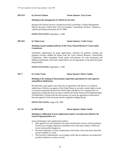### **HB 3125 by Warren Chisum Senate Sponsor: Troy Fraser**

### **Relating to the management of vehicles by the state.**

Requires the General Services Commission (GSC) to develop a Vehicle Management Plan for the state's vehicle fleet. GSC is to consider "centralizing" all fleets. Institutes a vehicle-purchasing moratorium for FY 2000.

**EFFECTIVE DATE:** September 1, 1999

### **HB 3561 by Vilma Luna Senate Sponsor: Carlos Truan**

### **Relating to grant-making authority of the Texas Natural Resource Conservation Commission**

Establishes requirements for grant applications, selection for grantees, funding and program activities eligible for grants from the Texas Natural Resource Conservation Commission, while exempting certain grants and grantees for state purchasing and bidding requirements when these requirements are not appropriate to the particular grant being offered.

**EFFECTIVE DATE**: September 1, 1999

### **SB 77 by Carlos Truan House Sponsor: Henry Cuellar**

**Relating to the making of international cooperation agreements by state agencies and political subdivisions.**

Provides that a state agency may enter into an agreement with Mexico or a political subdivision of Mexico, an agency of the United States or an entity created under a treaty or executive agreement between the United States and Mexico for a purpose that it is authorized to undertake (such an entity would be the North American Development Bank (NADBANK)). If funds from the state treasury are used, the agreement would need to have the approval of the Governor and the Legislative Budget Board.

**EFFECTIVE DATE:** August 30, 1999

### **SB 174 by Bill Ratliff House Sponsor: Robert Junell**

### **Relating to codification of state employment matters currently prescribed by the General Appropriations Act.**

Issues pertaining to state employment matters:

- State agencies are still required to do yearly classification reviews of their positions, but they are no longer required to send these over to the State Auditor's Office for review and possible disapproval.
- Part-time employees can earn compensatory time if they work more hours than their normal schedule in a week.
- The Executive Administrator can no longer certify that an employee can temporarily use their residence as a place of work.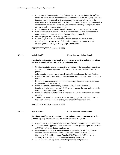- Employees with compensatory time that is going to lapse can, before the  $90<sup>th</sup>$  day before the lapse, request that time-off be given to use it up and the agency either has to approve the request or offer alternative dates for the time to be used. If the employee makes the request within 90 days of the lapse, the agency is encouraged to accommodate the request. Every year, the agency must notify all employees about the state's policy on compensatory time.
- Employees can receive one-time merit payments as opposed to merit increases.
- Employees with state service of 20-35 years are allowed to earn and accumulate more vacation time more progressively depending on years of service.
- Discourages personal use of agency vehicles.
- Requires agency to use the most cost effective postage and postal services.
- Agencies are to use state-owned facilities for meetings and conferences and discouraged from leasing or paying for private facilities.

**EFFECTIVE DATE:** September 1, 1999

### **SB 175 by Bill Ratliff House Sponsor: Robert Junell**

### **Relating to codification of certain travel provisions in the General Appropriations Act that are applicable to state officers and employees.**

- Codifies certain travel and transportation provisions of the General Appropriations Act that included the requirements for travel to be necessary and serve a state purpose.
- Allows audits of agency travel records by the Comptroller and the State Auditor.
- Requires justifications included in the event more than individual travel to the same location.
- Limitations on reimbursement of commute mileage, limousine services, extended trips to reduce costs to the state.
- Utilization of video conferencing facilities in lieu of travel for training.
- Funding and reimbursements for individuals representing the state on behalf of the Governor, legislator, agency head, etc.
- Utilization of state-owned aircraft, billing rates to agencies and reimbursements to the pilots.
- Allows for state officers' spouses while accompanying the state officers on state business be included in the priority system of scheduling state aircraft.

**EFFECTIVE DATE:** September 1, 1999

### **SB 176 by Bill Ratliff House Sponsor: Robert Junell**

### **Relating to codification of certain reporting and accounting requirements in the General Appropriations Act that are applicable to state agencies.**

- Requirement to provide certified transcripts of Board meetings to the State Library.
- The Comptroller Appropriations Certification and who gets this report as well as the ABEST/USAS reconciliation requirement.
- Grant reporting previously sent to the Legislative Budget Board (LBB) is now additionally to be sent to the Office of State and Federal Relations and the Governor's Office of Budget and Planning (GOBP) and the LBB is given the authority to prescribe rather than develop reporting procedures.
- The annual financial reporting detailed requirements and provisions.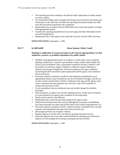- The reporting provisions relating to the Internal Audit requirement to submit reports to various entities.
- The nonresident bidder reports changes from being sent to the House and Senate and instead goes to the LBB who will detail the reporting information needed, the LBB must then provide the reporting to the Legislature.
- Requirements for an analysis must be filed before any construction project can begin with appropriated money.
- Transfers the reporting requirements for aircraft usage and other information by the Aircraft Pooling Board.
- Requirement that a state agency must notify the Governor and the LBB of lawsuits.

**EFFECTIVE DATE:** September 1, 1999

### **SB 177 by Bill Ratliff House Sponsor: Robert Junell**

### **Relating to codification of certain provisions in the General Appropriations Act that authorizes, restricts, or prohibits expenditures by public entities.**

- Prohibits using appropriated money to an agency or other entity, such as regional planning commissions, councils of government or other entities under Chapter 391 of the Local Government Code, to participate in political activities, influence with the results of an election, employ a lobbyist or otherwise support lobbying, or influence the passage of legislation. Each state employee must sign a statement concerning the above provisions upon employment and the agency must maintain a file of such forms.
- Provisions related to restriction on officers and employees including the use of appropriated money to pay for publicity, the use of alcoholic beverages, and the use of state-owned or leased motor vehicles. Employees must sign and the agency must retain a statement that each employee has received a copy of the standards of conduct from Section 572.051.
- Travel expenditures that are reimbursed may not include charges for alcoholic beverages.
- With exceptions, an agency may not hire auditing services. Audits may be required of a sub-recipient by an agency and a condition of receiving funds.
- Postal services must be cost-effective.
- Membership dues cannot be paid unless approved by agency head.
- Publication restrictions have been moved, although the exceptions to prohibitions have been increased over those specifically listed in the General Appropriations Act.
- Provisions related to employee awards, volunteer awards, examination fees, moving expenses and expenditures that span more than one fiscal year.
- Discourages personal use of agency vehicles.
- Requires agency to use the most cost effective postage and postal services.
- States that agencies are to use state-owned facilities for meetings and conferences. Agencies are discouraged from leasing or paying for private facilities.

**EFFECTIVE DATE:** September 1, 1999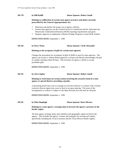| <b>SB</b> 178 | by Bill Ratliff                                                                                                                                                                                                                                                                                                                    | <b>House Sponsor: Robert Junell</b>                                                                                                                                                                                                                                    |  |
|---------------|------------------------------------------------------------------------------------------------------------------------------------------------------------------------------------------------------------------------------------------------------------------------------------------------------------------------------------|------------------------------------------------------------------------------------------------------------------------------------------------------------------------------------------------------------------------------------------------------------------------|--|
|               | Relating to codification of certain state agency practices and duties currently<br>prescribed by the General Appropriations Act.                                                                                                                                                                                                   |                                                                                                                                                                                                                                                                        |  |
|               | Reiterates and defines the proper use of agency vehicles.<br>٠<br>Ensures that agencies use the General Services Commission bid list. Reiterates the<br>$\bullet$<br>Historically Underutilized Business (HUB) reporting requirements and goals.<br>Requires agencies to implement a Mentor-Protége Program to assist HUB vendors. |                                                                                                                                                                                                                                                                        |  |
|               | <b>EFFECTIVE DATE:</b> September 1, 1999                                                                                                                                                                                                                                                                                           |                                                                                                                                                                                                                                                                        |  |
| <b>SB 183</b> | by Drew Nixon                                                                                                                                                                                                                                                                                                                      | <b>House Sponsor: Clyde Alexander</b>                                                                                                                                                                                                                                  |  |
|               | Relating to the acceptance of gifts by certain state agencies.                                                                                                                                                                                                                                                                     |                                                                                                                                                                                                                                                                        |  |
|               | perishable gifts.                                                                                                                                                                                                                                                                                                                  | Changes the procedures for acceptance of gifts of \$500 or more by state agencies. The<br>agency can accept it, without Board approval, as long as the Board acknowledges the gift<br>at a public meeting within 90 days. This increases an agency's ability to accept |  |
|               | <b>EFFECTIVE DATE:</b> September 1, 1999                                                                                                                                                                                                                                                                                           |                                                                                                                                                                                                                                                                        |  |
| <b>SB 191</b> | by Steve Ogden                                                                                                                                                                                                                                                                                                                     | <b>House Sponsor: Robert Junell</b>                                                                                                                                                                                                                                    |  |
|               | Relating to restrictions on certain actions involving the executive head of a state<br>agency or special district; providing a penalty.                                                                                                                                                                                            |                                                                                                                                                                                                                                                                        |  |
|               | A governing board must vote to reassign an executive director or contract with a former<br>executive director (gone four years or less) in an open meeting. The terms of the<br>reassignment or contract is subject to the Open Records Act and must be released.                                                                  |                                                                                                                                                                                                                                                                        |  |
|               | <b>EFFECTIVE DATE:</b> September 1, 1999                                                                                                                                                                                                                                                                                           |                                                                                                                                                                                                                                                                        |  |
| <b>SB 501</b> | by Eliot Shapleigh                                                                                                                                                                                                                                                                                                                 | <b>House Sponsor: Rene Oliveira</b>                                                                                                                                                                                                                                    |  |
|               | Relating to a state agency's strategic plan to increase the agency's presence in the<br>border region.                                                                                                                                                                                                                             |                                                                                                                                                                                                                                                                        |  |
|               |                                                                                                                                                                                                                                                                                                                                    | All state agency strategic plans must identify each geographic region served by the<br>agency. This includes the agency's means and strategies for serving each region,<br>specifically including the Texas-Louisiana and the Texas-Mexico border regions.             |  |
|               | <b>EFFECTIVE DATE:</b> September 1, 1999                                                                                                                                                                                                                                                                                           |                                                                                                                                                                                                                                                                        |  |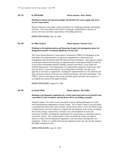## **SB 533** by Bill Ratliff **Sponsor: Mary Denny House Sponsor: Mary Denny Relating to annual and special meetings and elections for water supply and sewer service corporations.** Board of Directors must adopt written procedures for conducting meetings and holding elections. This must address notification of meetings, establishment of quorum of proxies and votes and other requirements with holding elections. **EFFECTIVE DATE:** May 10, 1999 **SB 708 by Mike Jackson House Sponsor: Patricia Gray Relating to the implementation and financing of approved management plans for designated estuaries of national significance in the state.** The Texas Natural Resource Conservation Commission (TNRCC) is designated as the

lead agency for implementation of approved comprehensive conservation and management plans developed under the National Estuary Program. State agencies named to participate and provide assistance in implementation of the approved plan include the Texas Water Development Board (TWDB), General Land Office, Texas Parks and Wildlife Department, Texas Department of Transportation, Railroad Commission, State Soil and Water Conservation Board, Texas Department of Health, and other state agencies as necessary or appropriate. Funding for implementation is to be shared by the state, local governments in the area, the federal government, and other participants. The TNRCC and any state agency may accept and make grants and enter into contracts to accomplish the actions in the approved plans.

**EFFECTIVE DATE:** August 30, 1999

**SB 709 by David Sibley House Sponsor: Jim Keffer**

### **Relating to development regulations for certain unincorporated areas located in the watershed of Lake Granbury and the Brazos River; providing a penalty.**

Amends Chapter 231 of the Local Government Code by adding Subchapter K to deal with Developmental Regulations in Hood County. All of Hood County is located within a watershed that drains into Lake Granbury and the Brazos River. Gives the Hood County Commissioner's Court the authority to regulate the development in the county, including the location, design, construction, extension, size, and installation of water and wastewater facilities, including the requirements for connecting to a centralized water or wastewater system. The Commissioner's Court can divide the county into logical districts to help with developmental regulations, with each district having their own regulations. If there is a conflict between the regulations and a law, the one that imposes the higher standard prevails.

**EFFECTIVE DATE:** June 19, 1999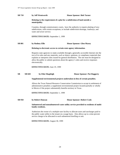## **SB 710** by Jeff Wentworth **House Sponsor: Bob Turner Relating to the requirement of a plat for a subdivision of land outside a municipality.** Counties, through commissioners courts, have the authority to require platting of new subdivisions, with certain exceptions, to include subdivision drainage, roadways, and water and sewer service. **EFFECTIVE DATE:** September 1, 1999 **SB 801 by Rodney Ellis House Sponsor: Glen Maxey Relating to electronic access to certain state agency information.** Requires state agencies to make available through a generally accessible Internet site the text of its rules and any materials, such as letters, opinions, or compliance materials that explains or interprets rules issued for general distribution. The site must be designed to allow the public to submit questions about the agency's rules and receive responses electronically. **EFFECTIVE DATE:** June 19, 1999 **SB SB 828** by Eliot Shapleigh House Sponsor: Pat Haggerty **Supplemental environmental projects undertaken in lieu of certain penalties.** Allows the Texas Natural Resource Conservation Commission to accept in settlement of administrative penalties a supplement environmental project located partially or wholly in Mexico if the project substantially benefits territory in Texas . **EFFECTIVE DATE:** September 1, 1999 **SB 950 by Robert Duncan House Sponsor: Robert Cook Submetered and nonsubmetered water utility service provided to residents of multifamily residents.** Authorizes the owner of a multiple-user facility to allocate taxes and surcharges paid to the public water utility to the tenant on a usage basis. Also allows up to a nine-percent service charge to be allocated to each submetered dwelling or unit.

**EFFECTIVE DATE:** August 30, 1999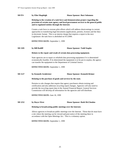| SB 974         | by Eliot Shapleigh                                                                                                                                                                                                                                                                                                                               | <b>House Sponsor: Burt Solomons</b>  |  |
|----------------|--------------------------------------------------------------------------------------------------------------------------------------------------------------------------------------------------------------------------------------------------------------------------------------------------------------------------------------------------|--------------------------------------|--|
|                | Relating to the creation of a task force and demonstration project regarding the<br>provision of certain state agency and local government services to the general public<br>and to regulated entities through the Internet.                                                                                                                     |                                      |  |
|                | Creates a task force to oversee pilot efforts which will address shortcomings in current<br>approaches to transferring legal documents (applications, permits, licenses and the like)<br>in electronic format. This is an interim charge that requires a report to the next<br>Legislature: the task force is abolished on 9/1/2000.             |                                      |  |
|                | <b>EFFECTIVE DATE:</b> September 1, 1999                                                                                                                                                                                                                                                                                                         |                                      |  |
| SB 1105        | by Bill Ratliff                                                                                                                                                                                                                                                                                                                                  | <b>House Sponsor: Todd Staples</b>   |  |
|                | Relates to the repair and resale of certain data processing equipment.                                                                                                                                                                                                                                                                           |                                      |  |
|                | State agencies are to repair or refurbish data processing equipment if it is determined<br>economically feasible. If its determined the equipment is to be put in surplus, the agency<br>can transfer the equipment to the Department of Criminal Justice.                                                                                       |                                      |  |
|                | <b>EFFECTIVE DATE:</b> September 1, 1999                                                                                                                                                                                                                                                                                                         |                                      |  |
| <b>SB 1127</b> | by Kenneth Armbrister                                                                                                                                                                                                                                                                                                                            | <b>House Sponsor: Kenneth Brimer</b> |  |
|                | Relating to the purchase of goods and services by the state.                                                                                                                                                                                                                                                                                     |                                      |  |
|                | Pertains to rule changes that require that agency purchasers obtain training and<br>certification and also addresses recycling report changes. Agencies will also need to<br>provide the recycling report data in the Annual Financial Report. General Services<br>Commission will develop all information for the agencies and will distribute. |                                      |  |
|                | <b>EFFECTIVE DATE: June 18, 1999</b>                                                                                                                                                                                                                                                                                                             |                                      |  |
| SB 1252        | by Royce West                                                                                                                                                                                                                                                                                                                                    | <b>House Sponsor: Ruth McClendon</b> |  |
|                | Relating to broadcasting public meetings over the Internet.                                                                                                                                                                                                                                                                                      |                                      |  |
|                | Allows agencies to broadcast public meetings over the Internet. Those that do must have<br>a site where the meeting can be viewed and post notice of the meeting there in<br>accordance with the Open Meetings Act. This is a voluntary option.                                                                                                  |                                      |  |

**EFFECTIVE DATE:** September 1, 1999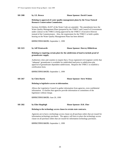## **SB 1308** by J.E. Brown **House Sponsor: David Counts Relating to approval of water quality management plans by the Texas Natural Resource Conservation Commission.** Sections 26.036(b), 26.037 of the Water Code are amended. The amendments have the Water Quality Management Plans (prepared by the TNRCC and Council of Governments under contract to the TNRCC) being approved by the TNRCC's Executive Director instead of the Commissioners. Also, the requirement for the TNRCC to hold a public hearing on the Water Quality Management Plans has been deleted. **EFFECTIVE DATE:** September 1, 1999 **SB 1323 by Jeff Wentworth House Sponsor: Harvey Hilderbran Relating to requiring certain plats for the subdivision of land to include proof of groundwater supply.** Authorizes cities and counties to require that a Texas registered civil engineer certify that "adequate" groundwater is available for subdivided land prior to subdivision plat approval of groundwater dependent subdivisions. Requires the TNRCC to establish a certification form. **EFFECTIVE DATE:** September 1, 1999 **SB 1367 by Chris Harris House Sponsor: Steve Wolens Relating to legislative access to information.** Allows the Legislative Council to gather information from agencies, even confidential information. It clarifies that agencies provide information to committees of the legislature without charge. **EFFECTIVE DATE:** June 20, 1999 **SB 1382 by Eliot Shapleigh House Sponsor: D.R. Uher Relating to the technology access clause in certain state contracts.** Agencies are to have a technology access clause on all purchase orders that are issued for information technology purchases. The agency will have to place the technology access clause on all purchase orders that are issued for information technology purchases. **EFFECTIVE DATE:** September 1, 1999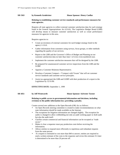### **SB 1563** by Kenneth Armbrister **House Sponsor: Henry Cuellar**

### **Relating to establishing customer service standards and performance measures for state agencies.**

Requires all state agencies to collect external customer satisfaction data for each strategy listed in the General Appropriations Act (GAA). The Legislative Budget Board (LBB) will develop means to measure customer satisfaction as well as create performance measures for agencies in this area.

### Requires agencies to:

- Create an inventory of external customers for each budget strategy listed in the agency's GAA.
- Gather information from customers using surveys, focus groups, or other methods regarding the quality of our services.
- Report to the LBB and the Governor's Office of Budget and Planning on our customer satisfaction data no later than June 1 of every even-numbered year.
- Implement the customer satisfaction measures that will be designed by the LBB.
- Be prepared for unannounced customer service inspections from the LBB and the GOBP.
- Appoint a Customer Relations Representative.
- Develop a Customer Compact—"Compact with Texans" that will set customer service standards and customer service principles.
- Assist (as appropriate) the LBB and GOBP with their production of a report to the Legislature by 12/31/00.

**EFFECTIVE DATE:** September 1, 1999

### **SB 1851 by Jeff Wentworth House Sponsor: Sylvester Turner**

### **Relating to public access to governmental information and decisions, including revisions to the public information law; providing a penalty.**

Creates several new additions to the Open Records (OR) Act as follows:

- An Open Records steering committee is created to make recommendations on what state information should be made available on the Internet.
- The exceptions for litigation information are changed slightly. The exception for audits is changed to allow withholding not only an audit working paper or draft audit but also the audit itself.
- Clarifies certain commercial and financial information can be excepted as "trade secret."
- Makes it clear a requestor must pay production costs before receiving the information.
- Allows entities to respond more efficiently to repetitious and redundant requests from the same person.
- If a request is estimated to cost more than \$40 to answer, entities are required to send a written estimate of the costs to the requestor and revise this estimate if it later is determined to be more than 20 percent off.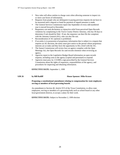- New rules will allow entities to charge costs when allowing someone to inspect six or more case boxes of information.
- Requests from people who are delinquent in paying previous requests do not have to be answered until a deposit or bond for payment of unpaid amounts is made.
- The General Services Commission report due September of every odd-numbered year is moved forward to December.
- Requestors can seek declaratory or injunctive relief from perceived Open Records violations by complaining to the Travis County District Attorney, who has 30 days to determine if suit should be filed. If not, the requestor can then file the complaint with the Attorney General (AG), who can also file suit.
- Reconsideration of AG opinions is prohibited.
- If an entity is in possession of proprietary information that is subject to a request that requires an AG decision, the entity must give notice to the person whose proprietary interests are at stake and they have the opportunity to file a brief with the AG.
- The Sunset Commission will review how an agency complies with the Open Meetings Act, the Open Records Act and records retention when reviewing an agency.
- Agencies report to the Legislative Budget Board information on open records requests, including costs to the agency (capital and personnel) to respond.
- Agencies must post, by 1/3/2000 a sign prescribed by the General Services Commission about the rights of requestors, responsibilities of the agency, and procedures for inspecting and obtaining information.

**EFFECTIVE DATE:** September 1, 1999

### **SJR 26 by Bill Ratliff House Sponsor: Mike Krusee**

### **Proposing a constitutional amendment relating to compensation for state employees serving as members of local governing boards.**

An amendment to Section 40, Article XVI of the Texas Constitution, to allow state employees, serving as members of a governing body such as school board or any other local government districts, to accept a salary for their work.

**EFFECTIVE DATE:** Subject to November 2, 1999 election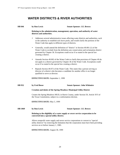## **WATER DISTRICTS & RIVER AUTHORITIES**

### **HB 846 by Ron Lewis Senate Sponsor: J.E. Brown**

**Relating to the administration, management, operation, and authority of water districts and authorities.**

- Addresses several administrative issues affecting water districts and authorities, such as the authority to establish sick leave pools, and would clarify the portions of the Water Code that apply to different types of districts.
- Generally, would amend the definition of "district" in Section 49.001 (1) of the Water Code to exclude from the definition any conservation and reclamation district governed by Chapter 36. Exceptions could occur if so stated in the special law creating a district.
- Amends Section 49.002 of the Water Code to clarify that provision of Chapter 49 do not apply to a district governed by Chapter 36 of the Water Code. Exceptions could occur if so stated in the special law creating a district.
- Repeals Section 49.072 of the Water Code. This states that a person serving as director of a district who becomes a candidate for another office is no longer qualified to serve as director.

**EFFECTIVE DATE:** September 1, 1999

### **HB 952 by Fred Bosse Senate Sponsor: John Whitmire**

**Creation and duties of the Spring Meadows Municipal Utility District**

Creates the Spring Meadows MUD, in Harris County, under Section 59, Article XVI of the Texas Constitution, subject to a conformation election.

**EFFECTIVE DATE:** May 5, 1999

### **HB 1069 by Ron Lewis Senate Sponsor: J.E. Brown**

**Relating to the eligibility of a water supply or sewer service corporation to be converted into a special utility district.**

Allows nonprofit water supply and sewer service corporations to convert to "special utility districts" by removing the limitation that the corporation must have been providing services on or before January 1, 1985.

**EFFECTIVE DATE:** August 30, 1999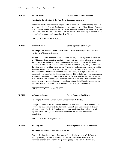### **HB 1355 by Tom Ramsay Senate Sponsor: Tom Haywood**

### **Relating to the adoption of the Red River Boundary Compact.**

Enacts the Red River Boundary Compact. The compact will become binding once it has been enacted by the State of Oklahoma and given consent by the United States Congress. The Compact would establish the permanent political boundary between Texas and Oklahoma along the Red River portion of the border. The boundary is defined as the vegetation line on the south bank of the Red River.

**EFFECTIVE DATE:** May 24, 1999

### **HB 1437 by Mike Krusee Senate Sponsor: Steve Ogden**

### **Relating to the powers of the Lower Colorado River Authority to provide water services in Williamson County.**

Expands the Lower Colorado River Authority's (LCRA) ability to provide water service in Williamson County, not to exceed 25,000 acre/feet/year, contingent upon approval by the Brazos River Authority for areas within the Brazos Basin. It also establishes a surcharge to be collected from new customer entities (after May 20, 1997) in addition to the actual cost of providing water service. The money collected from surcharges will be deposited into an agricultural water conservation fund, and can only be used for development of water resources or other water use strategies to replace or offset the amount of water transferred to Williamson County. This includes any water development or strategies that reduce reliance on surface water for agricultural irrigation, and will be in consultation with an agricultural irrigation advisory committee. The additional water resources may be acquired from any source in or outside the LCRA district boundaries and used to benefit the water service areas of LCRA's irrigation operations.

### **EFFECTIVE DATE:** August 30, 1999

### **HB 2199 by Warren Chisum Senate Sponsor: Teel Bivins**

### **Relating to Panhandle Groundwater Conservation District 3.**

Changes the name of the Panhandle Groundwater Conservation District Number Three, south of the Canadian River to the Panhandle Groundwater Conservation District. In addition, changes the district's authority to include regulation of groundwater in other aquifers besides the Ogallala that are located within the district's jurisdictional boundaries.

**EFFECTIVE DATE:** August 30, 1999

### **HB 2274 by Terry Keel Senate Sponsor: Gonzalo Barrientos**

### **Relating to operation of Wells Branch MUD.**

Amends Section 42.049, Local Government Code, dealing with the Wells Branch Municipal Utility District. The amendment allows the district to contract with municipalities for "purposes that the governing body of the district determines will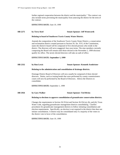further regional cooperation between the district and the municipality." The contract can also include terms preventing the municipality from annexing the district for the term of the contract.

**EFFECTIVE DATE:** June 19, 1999

### **HB 2275 by Terry Keel Senate Sponsor: Jeff Wentworth**

### **Relating to board of Southwest Travis County Water District.**

Amends the composition of the Southwest Travis County Water District, a conservation and reclamation district created pursuant to Section 59, Art. XVI, of the Constitution, states the district's board will be composed of five elected persons who reside in the district. The directors will serve staggered, four-year terms. The nine members currently composing the Board will remain until those elected in the November 2, 1999 elections qualify for office. The newly elected directors will take an oath of office.

### **EFFECTIVE DATE: September 1, 1999**

### **HB 2332 by Ron Lewis Senate Sponsor: Kenneth Armbrister**

### **Relating to the administration and consolidation of drainage districts.**

Drainage District Board of Directors will now usually be composed of three elected directors. Duties, such as issuing bonds that were performed by county commissioners courts will now be performed by the Board of Directors. Allows the Districts to consolidate.

**EFFECTIVE DATE:** September 1, 1999

### **HB 2926 by Gary Walker Senate Sponsor: Teel Bivins**

### **Relating to elections to approve consolidation of groundwater conservation districts.**

Changes the requirements in Section 36.351(a) and Section 36.354 (a), (b), and (d), Texas Water Code, regarding groundwater management districts consolidating. Clarifies procedures for groundwater management districts to follow initiating consolidation and election requirements. Specifically, an election is not required in the district that does not initiate consolidation. A district may be consolidated only if a majority of the voters in the district vote in favor of the consolidation.

**EFFECTIVE DATE:** June 19, 1999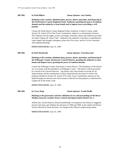### **HB 2965 by Paul Hilbert Senate Sponsor: Jon Lindsay**

**Relating to the creation, administration, powers, duties, operation, and financing of the North Harris County Regional Water Authority; granting the power of eminent domain and the authority to issue bonds and to impose taxes; providing a civil penalty.**

Creates the North Harris County Regional Water Authority, in Harris County, under Section 59, Article XVI of the Texas Constitution, subject to a conformation election. The Authority has the rights, powers, privileges, functions, duties and authority provided for under Chapter 49, Water Code. Authorizes the authority to develop a comprehensive water supply and drought contingency plan every five years, and for it to be consistent with regional planning.

**EFFECTIVE DATE:** June 19, 1999

### **HB 3401 by Rick Hardcastle Senate Sponsor: Tom Haywood**

**Relating to the creation, administration, powers, duties, operation, and financing of the Wilbarger County Stormwater Control District; granting the authority to issue bonds and impose taxes; granting the power of eminent domain.**

Creates the Wilbarger County Stormwater Control District. The boundaries of the district are co-existent with the boundaries of Wilbarger County. The district will be governed by a board of five elected directors. The district may issue bonds to provide for all improvements and the maintenance of those improvements necessary to achieve the purposes defined in Section 59, Article XVI of the Texas Constitution, and pay for the bonds through ad valorem taxes and revenues collected for that purpose as authorized by Chapter 66 of the Water Code.

**EFFECTIVE DATE:** June 19, 1999

### **HB 3481 by Tracy King Senate Sponsor: Frank Madla**

**Relating to the governance and the validation of acts and proceedings of the Bexar-Medina-Atascosa Counties Water Control and Improvement District No. 1.**

Affirms the current District's elected membership. It resequences the District's staggered precinct elections and validates the elections of 1996 and 1998. It also ratifies all District actions affected by those elections. No change to the District's empowering statute.

**EFFECTIVE DATE:** June 19, 1999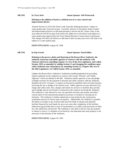### **HB 3591 by Terry Keel Senate Sponsor: Jeff Wentworth**

### **Relating to the addition of land to a defined area of a water control and improvement district.**

Amends Section 51.534 of the Water Code, basically deleting the phrase "subject to water quality plan" from the section. Currently, Section 51.534 allows Water Control and Improvement Districts to add land pursuant to Section 49.301, Water Code, to the area under the WCID tax plan if the land to be added was in the district and subject to a water quality plan approved by the Texas Natural Resource Conservation Commission. This change will allow the District to add land to their tax plan area even if the land is not subject to a water quality plan.

**EFFECTIVE DATE:** August 30, 1999

### **HB 3793** by Kip Averitt Senate Sponsor: David Sibley

**Relating to the powers, duties and financing of the Brazos River Authority, the authority of persons and public agencies to contract with the authority with reference thereto by amending Chapter 13, Acts of the 41st Legislature, 2nd Called Session, 1929, as amended, by adding Section 11 and changing the conditions upon which Authority may sell property by amending Section 12, Chapter 368, Acts of the 44th Legislature, 1st Called Session, 1935, as amended.**

Updates the Brazos River Authority's (Authority) enabling legislation by providing explicit authority for the Authority to contract with various "Persons" and "Public Agencies" which are defined in the Bill. Authorizes public agencies to use and pledge available revenues for the payment of amounts due under contracts with the Authority. Qualifies the term "revenues" to require an election by qualified voters for bond issuance involving the use or pledge of ad valorem taxes. Public agencies are also allowed to fix, charge and collect rates, fees, charges and rentals for services or facilities they provide, and to pledge and use such funds in connection with contracts involving the Authority. The Authority is also allowed to carry out specified activities and acquire and utilize various types of real and personal property necessary or incident to carrying out its functions. The Authority is further authorized to issue bonds for the construction, acquisition and use of various types of property. Additionally, the Authority is granted the ability to include in any revenue bond issue the funds to operate and maintain facilities financed by such bonds for up to two years after completion of the facilities. Subsection (g) provides that in cases of inconsistency or conflict with provisions of other law, this subsection will prevail. The Authority is also able to sell for cash any property or interest it owns if 11 members of its board by vote determine that such property is not necessary to the business of the Authority.

### **EFFECTIVE DATE:** August 30, 1999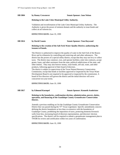### **HB 3804 by Ronny Crownover Senate Sponsor: Jane Nelson**

### **Relating to the Lake Cities Municipal Utility Authority.**

Validation and reconfirmation of the Lake Cities Municipal Utility Authority. The Authority is given the power of eminent domain and the authority to issue bonds and collect an ad valorem tax.

**EFFECTIVE DATE:** June 19, 1999

### **HB 3814** by David Counts Senate Sponsor: Tom Haywood

### **Relating to the creation of the Salt Fork Water Quality District; authorizing the issuance of bonds.**

The District is authorized to improve the quality of water in the Salt Fork of the Brazos River and its tributaries by controlling and removing salt and other substances. The district has the powers of a special utility district, except that they may not levy or collect taxes. The district may construct, own, and operate facilities; enter into contracts, accept grants, loans, and other assistance from the state, political subdivisions of the state, and other entities. They may also borrow money, issue bonds, sell salt, water, and other products, following approval of their board of directors.

The district is subject to supervision of the Texas Natural Resource Conservation Commission, except that bonds or facilities approved or inspected by the Texas Water Development Board is not required to be approved or inspected by the commission. A board of five directors will govern the district and the initial directors will serve concurrent two-year terms.

**EFFECTIVE DATE:** June 19, 1999

### **HB 3817 by Edmund Kuempel Senate Sponsor: Kenneth Armbrister**

**Relating to the boundaries, confirmation election, administration, powers, duties, operation, and financing of the Guadalupe County Groundwater Conservation District.**

Amends a previous enabling act for the Guadalupe County Groundwater Conservation District that was passed during the  $75<sup>th</sup>$  Texas Legislature. Specific amendments concern: defining the district boundaries as less than co-extensive with the boundaries of Guadalupe County, prohibiting the imposition of taxes, protecting domestic/livestock wells from fees, increasing board of directors representation, and directors' election specifications. The district will be required to submit a groundwater management plan to TWDB for review and certification within two years of confirmation.

**EFFECTIVE DATE:** June 19, 1999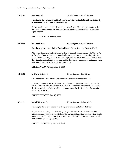## **HB 3846 by Ron Lewis Senate Sponsor: David Bernsen Relating to the composition of the board of directors of the Sabine River Authority of Texas and the abolition of the authority.** The composition of the Sabine River Authority's Board of Directors is changed in that

the governor must appoint the directors from selected counties to obtain geographical representation.

**EFFECTIVE DATE:** June 19, 1999

### **HB 3847** by Allen Ritter Senate Sponsor: David Bernsen

### **Relating to powers and duties of the Jefferson County Drainage District No. 7.**

Allows purchases and contracts of the district to be made in accordance with Chapter 49 of the Water Code by district personnel rather than requiring a majority of the district Commissioners, manager and assistant manager, and the Jefferson County Auditor. Also the original enacting legislation is amended to elect the five commissioners in accordance with Subchapter D, Chapter 49 of the Water Code.

**EFFECTIVE DATE:** September 1, 1999

### **HB 3849 by David Swinford House Sponsor: Teel Bivins**

**Relating to the North Plains Groundwater Conservation District No. 2.**

Changes the name of the North Plains Groundwater Conservation District No. 2 to the North Plains Groundwater Conservation District. Amends the powers and duties of the district to include regulation of all groundwater within the district, and ratifies certain actions of the district.

**EFFECTIVE DATE**: June 19, 1999

**SB 1277** by Jeff Wentworth **House Sponsor: Robert Cook** 

**Relating to the uses of impact fees charged by municipal utility districts.**

Requires a municipality utility district (MUD) to use impact fees collected and any interest accrued on the fees collected only for payment of principal and interest on bonds, notes, or other obligations issued by or on behalf of the MUD to finance certain capital improvements or facility expansions.

**EFFECTIVE DATE:** September 1, 1999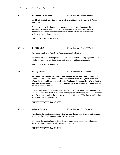## **SB 1755 by Kenneth Armbrister House Sponsor: Robert Puente Modification of district lines for the election of officers for the Edwards Aquifer Authority.** Prohibits a county election precinct from containing territory from more that one Edwards Aquifer Authority district and authorizes the authority's board of directors to modify district lines accordingly. Modifications may not increase or decrease the number of districts. **EFFECTIVE DATE:** May 21, 1999 **SB 1794 by Bill Ratliff House Sponsor: Barry Telford Powers and duties of Red River Redevelopment Authority.** Authorizes the authority to operate all utility systems on the authority's property. Also sets forth the powers and duties of the authority and validates certain acts. **EFFECTIVE DATE:** June 19, 1999 **SB 1822 by Troy Fraser House Sponsor: Bob Turner Relating to the creation, administration, powers, duties, operations, and financing of Horseshoe Bay Water Control and Improvement District No. 1, Horseshoe Bay Water Control and Improvement District No. 2, and Horseshoe Bay Water Control and Improvement District No. 3; granting authority for taxation and bonds and the power of eminent domain.** Creates three conservation and reclamation districts in Llano and Burnet Counties. They are called Horseshoe Bay Water Control and Improvement Districts Nos. 1-3. They each have five directors and can be annexed by a municipality once 90% of their work is done or on/after their  $20<sup>th</sup>$  anniversary. **EFFECTIVE DATE:** June 19, 1999 **SB 1855 by David Bernsen House Sponsor: Zeb Zbranek Relating to the creation, administration, powers, duties, functions, operations, and financing of the Tarkington Special Utility District.** Creates the Tarkington Special Utility District, a new conservation and reclamation district in Liberty County. It will have seven directors.

**EFFECTIVE DATE:** June 19, 1999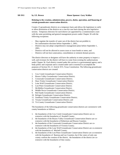### **SB 1911 by J.E. Brown House Sponsor: Gary Walker**

### **Relating to the creation, administration, powers, duties, operation, and financing of certain groundwater conservation districts**.

Creates 13 groundwater districts on a temporary basis and allows the legislature to ratify or allow dissolution of the districts on a case-by-case basis during the next legislative session. Temporary directors for each district are appointed by a commissioners court with the same permitting and general management powers under Chapter 36 with the following exceptions:

- **-** May regulate the transfer of water out of the district but not prohibit it;
- **-** No conformation elections before September 1, 2001;
- **-** Districts may not adopt comprehensive management plans before September 1, 2001;
- **-** Districts will not be allowed to assess taxes or issue bonds or notes; and
- **-** Districts will not have annexation, consolidation or eminent domain powers.

The district directors or designees will have the authority to enter property to inspect a well, and revenues for the district will have to come from existing fee authorizations under Chapter 36. Each district created under this section is a governmental agency and a body politic and corporate and is created under and is essential to accomplish the purposes of Section 59, 2-1 Article XVI, Texas Constitution. The following groundwater conservation districts are created:

- 1. Cow Creek Groundwater Conservation District;
- 2. Brazos Valley Groundwater Conservation District;
- 3. Crossroads Groundwater Conservation District;
- 4. Hays Trinity Groundwater Conservation District;
- 5. Lone Wolf Groundwater Conservation District;
- 6. Lost Pines Groundwater Conservation District;
- 7. McMullen Groundwater Conservation District;
- 8. Middle Pecos Groundwater Conservation District;
- 9. Red Sands Groundwater Conservation District;
- 10. Refugio Groundwater Conservation District;
- 11. Southeast Trinity Groundwater Conservation District;
- 12. Texana Groundwater Conservation District; and
- 13. Tri-County Groundwater Conservation District.

The boundaries of the following groundwater conservation districts are coextensive with county boundaries as follows:

- 1. the boundaries of the Cow Creek Groundwater Conservation District are coextensive with the boundaries of Kendall County;
- 2. the boundaries of the Brazos Valley Groundwater Conservation District are coextensive with the boundaries of Robertson and Brazos Counties;
- 3. the boundaries of the Crossroads Groundwater Conservation District are coextensive with the boundaries of Victoria County;
- 4. the boundaries of the Lone Wolf Groundwater Conservation District are co-extensive with the boundaries of Mitchell County;
- 5. the boundaries of the Lost Pines Groundwater Conservation District are co-extensive with the boundaries of Bastrop and Lee Counties, but if the voters of only one county confirm the creation of the district, the boundaries of the district are coextensive with the boundaries of that county;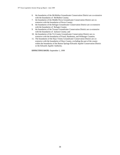- 6. the boundaries of the McMullen Groundwater Conservation District are co-extensive with the boundaries of McMullen County;
- 7. the boundaries of the Middle Pecos Groundwater Conservation District are coextensive with the boundaries of Pecos County;
- 8. the boundaries of the Refugio Groundwater Conservation District are co-extensive with the boundaries of Refugio County;
- 9. the boundaries of the Texana Groundwater Conservation District are co-extensive with the boundaries of Jackson County; and
- 10. the boundaries of the Tri-County Groundwater Conservation District are coextensive with the boundaries of Foard, Hardeman, and Wilbarger Counties.
- 11. The boundaries of the Hays Trinity Groundwater Conservation District are coextensive with the boundaries of Hays County, excluding the part of the county within the boundaries of the Barton Springs-Edwards Aquifer Conservation District or the Edwards Aquifer Authority.

**EFFECTIVE DATE:** September 1, 1999